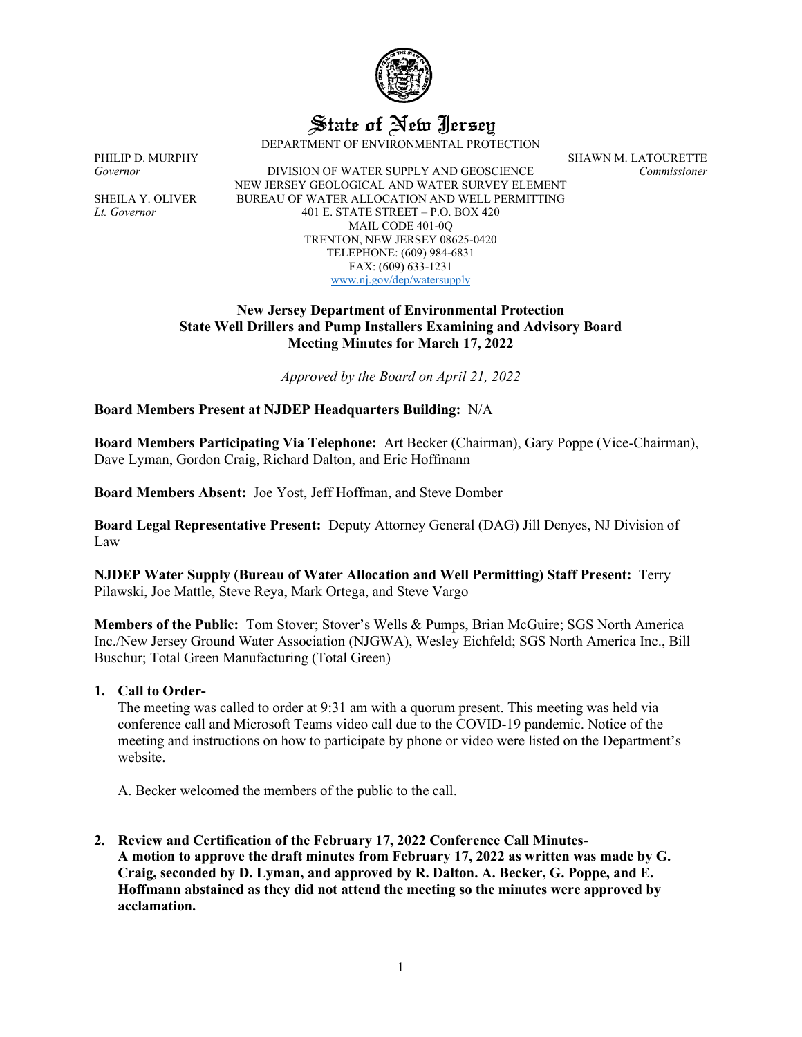

State of New Jersey

DEPARTMENT OF ENVIRONMENTAL PROTECTION

*Governor* DIVISION OF WATER SUPPLY AND GEOSCIENCE *Commissioner* NEW JERSEY GEOLOGICAL AND WATER SURVEY ELEMENT SHEILA Y. OLIVER BUREAU OF WATER ALLOCATION AND WELL PERMITTING *Lt. Governor* 401 E. STATE STREET – P.O. BOX 420 MAIL CODE 401-0Q TRENTON, NEW JERSEY 08625-0420 TELEPHONE: (609) 984-6831 FAX: (609) 633-1231 [www.nj.gov/dep/watersupply](http://www.nj.gov/dep/watersupply)

### **New Jersey Department of Environmental Protection State Well Drillers and Pump Installers Examining and Advisory Board Meeting Minutes for March 17, 2022**

*Approved by the Board on April 21, 2022*

# **Board Members Present at NJDEP Headquarters Building:** N/A

**Board Members Participating Via Telephone:** Art Becker (Chairman), Gary Poppe (Vice-Chairman), Dave Lyman, Gordon Craig, Richard Dalton, and Eric Hoffmann

**Board Members Absent:** Joe Yost, Jeff Hoffman, and Steve Domber

**Board Legal Representative Present:** Deputy Attorney General (DAG) Jill Denyes, NJ Division of Law

**NJDEP Water Supply (Bureau of Water Allocation and Well Permitting) Staff Present:** Terry Pilawski, Joe Mattle, Steve Reya, Mark Ortega, and Steve Vargo

**Members of the Public:** Tom Stover; Stover's Wells & Pumps, Brian McGuire; SGS North America Inc./New Jersey Ground Water Association (NJGWA), Wesley Eichfeld; SGS North America Inc., Bill Buschur; Total Green Manufacturing (Total Green)

### **1. Call to Order-**

The meeting was called to order at 9:31 am with a quorum present. This meeting was held via conference call and Microsoft Teams video call due to the COVID-19 pandemic. Notice of the meeting and instructions on how to participate by phone or video were listed on the Department's website.

A. Becker welcomed the members of the public to the call.

**2. Review and Certification of the February 17, 2022 Conference Call Minutes-A motion to approve the draft minutes from February 17, 2022 as written was made by G. Craig, seconded by D. Lyman, and approved by R. Dalton. A. Becker, G. Poppe, and E. Hoffmann abstained as they did not attend the meeting so the minutes were approved by acclamation.**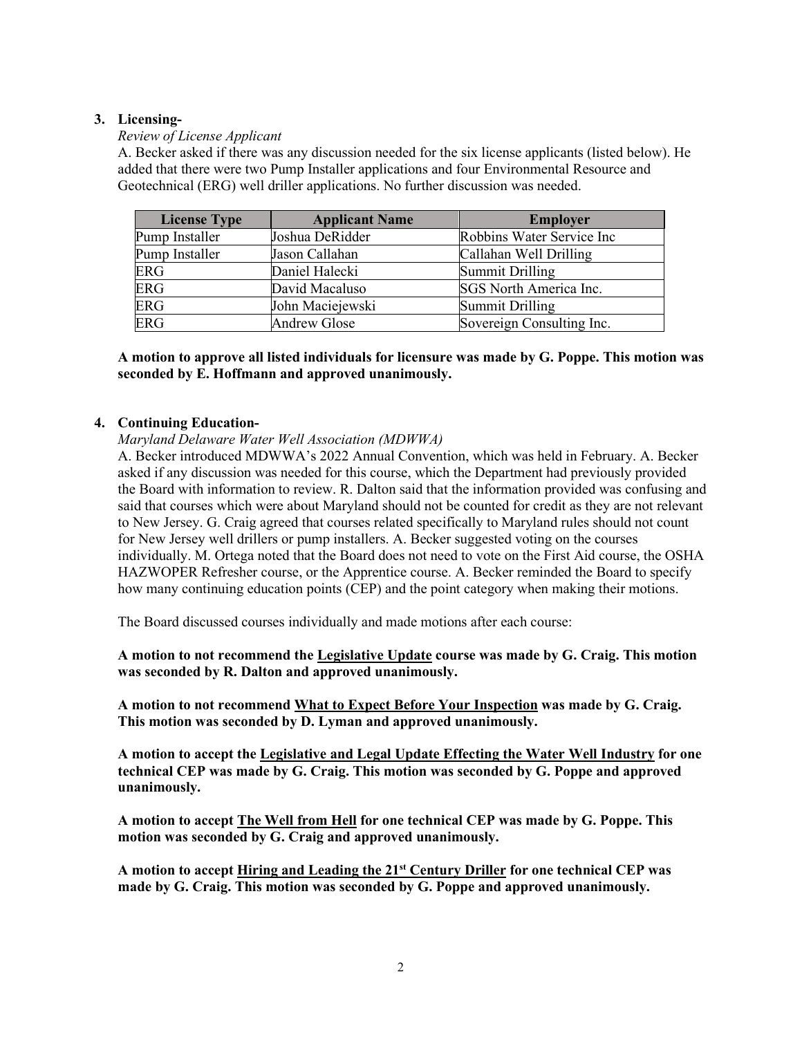# **3. Licensing-**

# *Review of License Applicant*

A. Becker asked if there was any discussion needed for the six license applicants (listed below). He added that there were two Pump Installer applications and four Environmental Resource and Geotechnical (ERG) well driller applications. No further discussion was needed.

| <b>License Type</b> | <b>Applicant Name</b> | <b>Employer</b>           |
|---------------------|-----------------------|---------------------------|
| Pump Installer      | Joshua DeRidder       | Robbins Water Service Inc |
| Pump Installer      | Jason Callahan        | Callahan Well Drilling    |
| <b>ERG</b>          | Daniel Halecki        | <b>Summit Drilling</b>    |
| <b>ERG</b>          | David Macaluso        | SGS North America Inc.    |
| ERG                 | John Maciejewski      | Summit Drilling           |
| <b>ERG</b>          | <b>Andrew Glose</b>   | Sovereign Consulting Inc. |

## **A motion to approve all listed individuals for licensure was made by G. Poppe. This motion was seconded by E. Hoffmann and approved unanimously.**

## **4. Continuing Education-**

*Maryland Delaware Water Well Association (MDWWA)*

A. Becker introduced MDWWA's 2022 Annual Convention, which was held in February. A. Becker asked if any discussion was needed for this course, which the Department had previously provided the Board with information to review. R. Dalton said that the information provided was confusing and said that courses which were about Maryland should not be counted for credit as they are not relevant to New Jersey. G. Craig agreed that courses related specifically to Maryland rules should not count for New Jersey well drillers or pump installers. A. Becker suggested voting on the courses individually. M. Ortega noted that the Board does not need to vote on the First Aid course, the OSHA HAZWOPER Refresher course, or the Apprentice course. A. Becker reminded the Board to specify how many continuing education points (CEP) and the point category when making their motions.

The Board discussed courses individually and made motions after each course:

**A motion to not recommend the Legislative Update course was made by G. Craig. This motion was seconded by R. Dalton and approved unanimously.**

**A motion to not recommend What to Expect Before Your Inspection was made by G. Craig. This motion was seconded by D. Lyman and approved unanimously.**

**A motion to accept the Legislative and Legal Update Effecting the Water Well Industry for one technical CEP was made by G. Craig. This motion was seconded by G. Poppe and approved unanimously.**

**A motion to accept The Well from Hell for one technical CEP was made by G. Poppe. This motion was seconded by G. Craig and approved unanimously.** 

**A motion to accept Hiring and Leading the 21st Century Driller for one technical CEP was made by G. Craig. This motion was seconded by G. Poppe and approved unanimously.**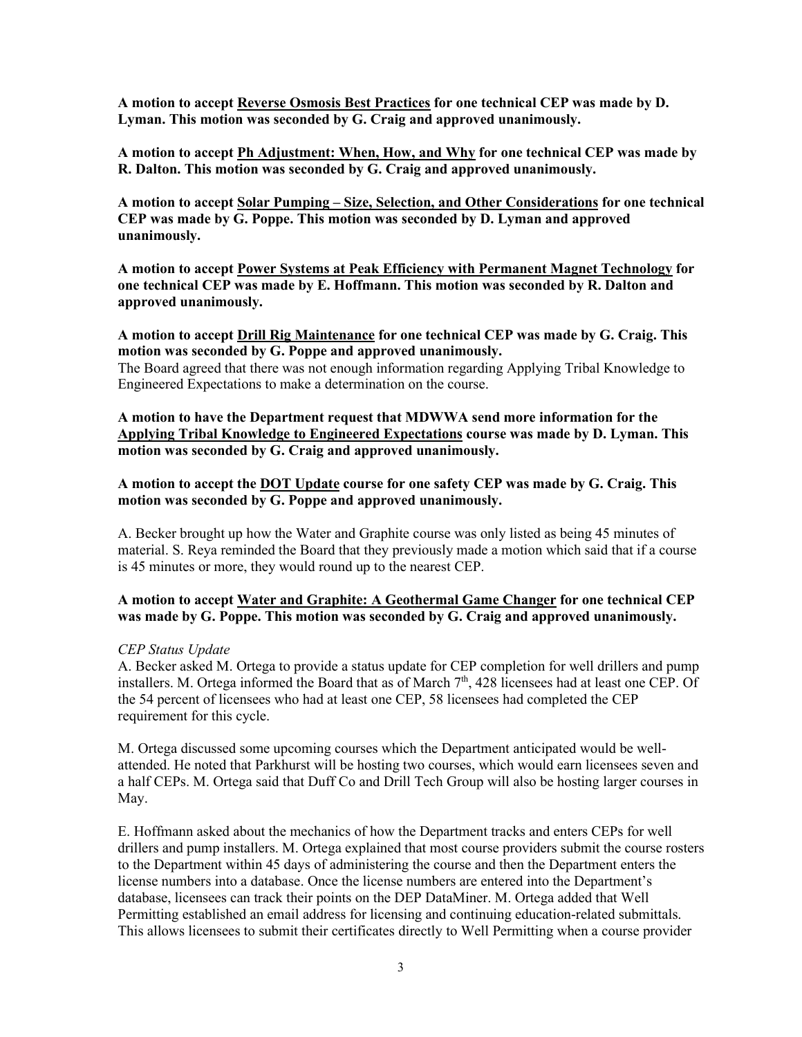**A motion to accept Reverse Osmosis Best Practices for one technical CEP was made by D. Lyman. This motion was seconded by G. Craig and approved unanimously.**

**A motion to accept Ph Adjustment: When, How, and Why for one technical CEP was made by R. Dalton. This motion was seconded by G. Craig and approved unanimously.** 

**A motion to accept Solar Pumping – Size, Selection, and Other Considerations for one technical CEP was made by G. Poppe. This motion was seconded by D. Lyman and approved unanimously.** 

**A motion to accept Power Systems at Peak Efficiency with Permanent Magnet Technology for one technical CEP was made by E. Hoffmann. This motion was seconded by R. Dalton and approved unanimously.**

**A motion to accept Drill Rig Maintenance for one technical CEP was made by G. Craig. This motion was seconded by G. Poppe and approved unanimously.**

The Board agreed that there was not enough information regarding Applying Tribal Knowledge to Engineered Expectations to make a determination on the course.

**A motion to have the Department request that MDWWA send more information for the Applying Tribal Knowledge to Engineered Expectations course was made by D. Lyman. This motion was seconded by G. Craig and approved unanimously.** 

**A motion to accept the DOT Update course for one safety CEP was made by G. Craig. This motion was seconded by G. Poppe and approved unanimously.** 

A. Becker brought up how the Water and Graphite course was only listed as being 45 minutes of material. S. Reya reminded the Board that they previously made a motion which said that if a course is 45 minutes or more, they would round up to the nearest CEP.

## **A motion to accept Water and Graphite: A Geothermal Game Changer for one technical CEP was made by G. Poppe. This motion was seconded by G. Craig and approved unanimously.**

### *CEP Status Update*

A. Becker asked M. Ortega to provide a status update for CEP completion for well drillers and pump installers. M. Ortega informed the Board that as of March  $7<sup>th</sup>$ , 428 licensees had at least one CEP. Of the 54 percent of licensees who had at least one CEP, 58 licensees had completed the CEP requirement for this cycle.

M. Ortega discussed some upcoming courses which the Department anticipated would be wellattended. He noted that Parkhurst will be hosting two courses, which would earn licensees seven and a half CEPs. M. Ortega said that Duff Co and Drill Tech Group will also be hosting larger courses in May.

E. Hoffmann asked about the mechanics of how the Department tracks and enters CEPs for well drillers and pump installers. M. Ortega explained that most course providers submit the course rosters to the Department within 45 days of administering the course and then the Department enters the license numbers into a database. Once the license numbers are entered into the Department's database, licensees can track their points on the DEP DataMiner. M. Ortega added that Well Permitting established an email address for licensing and continuing education-related submittals. This allows licensees to submit their certificates directly to Well Permitting when a course provider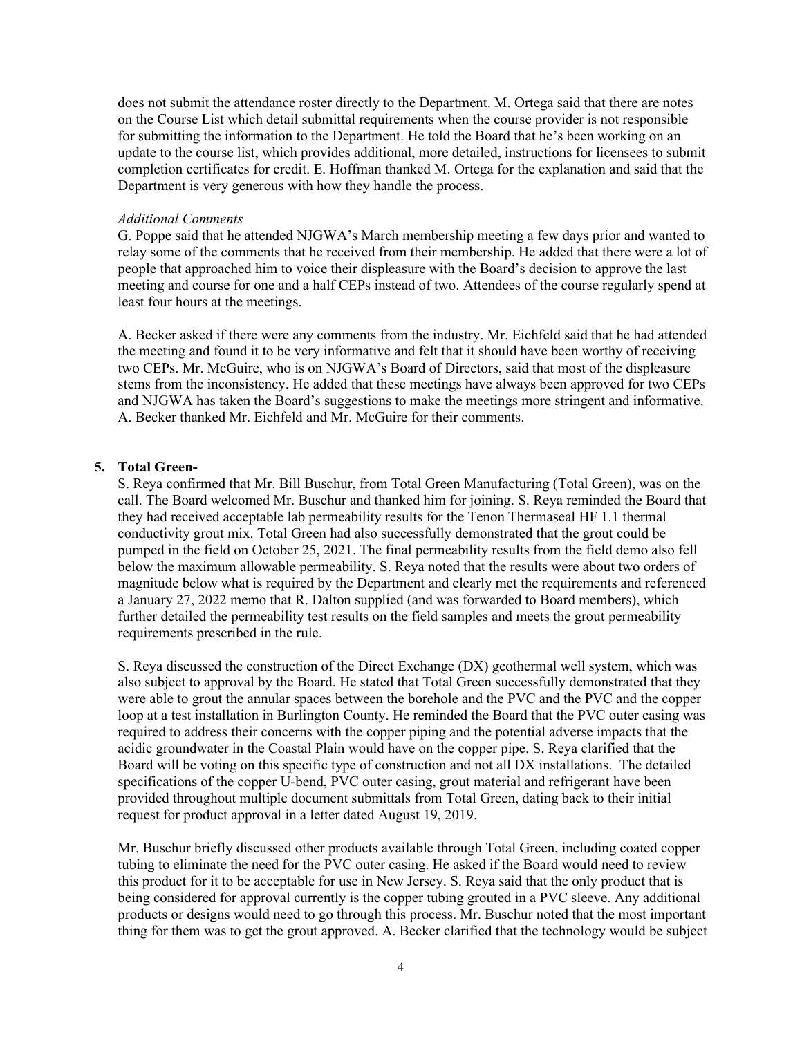does not submit the attendance roster directly to the Department. M. Ortega said that there are notes on the Course List which detail submittal requirements when the course provider is not responsible for submitting the information to the Department. He told the Board that he's been working on an update to the course list, which provides additional, more detailed, instructions for licensees to submit completion certificates for credit. E. Hoffman thanked M. Ortega for the explanation and said that the Department is very generous with how they handle the process.

#### *Additional Comments*

G. Poppe said that he attended NJGWA's March membership meeting a few days prior and wanted to relay some of the comments that he received from their membership. He added that there were a lot of people that approached him to voice their displeasure with the Board's decision to approve the last meeting and course for one and a half CEPs instead of two. Attendees of the course regularly spend at least four hours at the meetings.

A. Becker asked if there were any comments from the industry. Mr. Eichfeld said that he had attended the meeting and found it to be very informative and felt that it should have been worthy of receiving two CEPs. Mr. McGuire, who is on NJGWA's Board of Directors, said that most of the displeasure stems from the inconsistency. He added that these meetings have always been approved for two CEPs and NJGWA has taken the Board's suggestions to make the meetings more stringent and informative. A. Becker thanked Mr. Eichfeld and Mr. McGuire for their comments.

## **5. Total Green-**

S. Reya confirmed that Mr. Bill Buschur, from Total Green Manufacturing (Total Green), was on the call. The Board welcomed Mr. Buschur and thanked him for joining. S. Reya reminded the Board that they had received acceptable lab permeability results for the Tenon Thermaseal HF 1.1 thermal conductivity grout mix. Total Green had also successfully demonstrated that the grout could be pumped in the field on October 25, 2021. The final permeability results from the field demo also fell below the maximum allowable permeability. S. Reya noted that the results were about two orders of magnitude below what is required by the Department and clearly met the requirements and referenced a January 27, 2022 memo that R. Dalton supplied (and was forwarded to Board members), which further detailed the permeability test results on the field samples and meets the grout permeability requirements prescribed in the rule.

S. Reya discussed the construction of the Direct Exchange (DX) geothermal well system, which was also subject to approval by the Board. He stated that Total Green successfully demonstrated that they were able to grout the annular spaces between the borehole and the PVC and the PVC and the copper loop at a test installation in Burlington County. He reminded the Board that the PVC outer casing was required to address their concerns with the copper piping and the potential adverse impacts that the acidic groundwater in the Coastal Plain would have on the copper pipe. S. Reya clarified that the Board will be voting on this specific type of construction and not all DX installations. The detailed specifications of the copper U-bend, PVC outer casing, grout material and refrigerant have been provided throughout multiple document submittals from Total Green, dating back to their initial request for product approval in a letter dated August 19, 2019.

Mr. Buschur briefly discussed other products available through Total Green, including coated copper tubing to eliminate the need for the PVC outer casing. He asked if the Board would need to review this product for it to be acceptable for use in New Jersey. S. Reya said that the only product that is being considered for approval currently is the copper tubing grouted in a PVC sleeve. Any additional products or designs would need to go through this process. Mr. Buschur noted that the most important thing for them was to get the grout approved. A. Becker clarified that the technology would be subject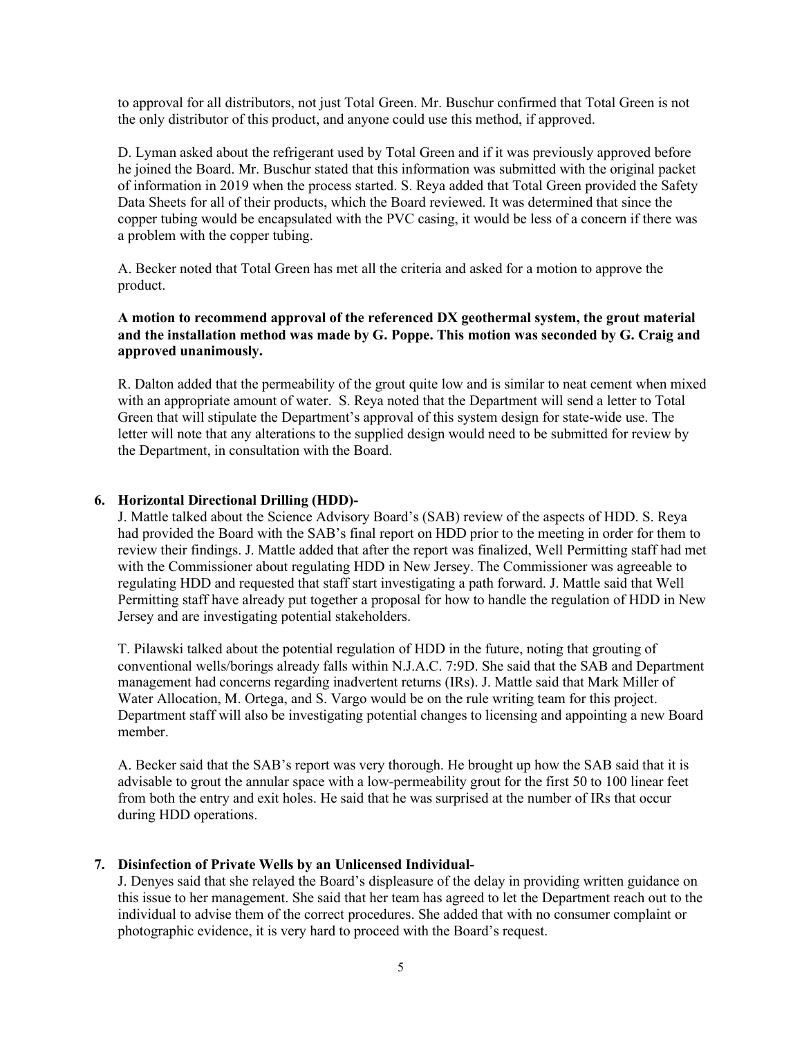to approval for all distributors, not just Total Green. Mr. Buschur confirmed that Total Green is not the only distributor of this product, and anyone could use this method, if approved.

D. Lyman asked about the refrigerant used by Total Green and if it was previously approved before he joined the Board. Mr. Buschur stated that this information was submitted with the original packet of information in 2019 when the process started. S. Reya added that Total Green provided the Safety Data Sheets for all of their products, which the Board reviewed. It was determined that since the copper tubing would be encapsulated with the PVC casing, it would be less of a concern if there was a problem with the copper tubing.

A. Becker noted that Total Green has met all the criteria and asked for a motion to approve the product.

## **A motion to recommend approval of the referenced DX geothermal system, the grout material and the installation method was made by G. Poppe. This motion was seconded by G. Craig and approved unanimously.**

R. Dalton added that the permeability of the grout quite low and is similar to neat cement when mixed with an appropriate amount of water. S. Reya noted that the Department will send a letter to Total Green that will stipulate the Department's approval of this system design for state-wide use. The letter will note that any alterations to the supplied design would need to be submitted for review by the Department, in consultation with the Board.

## **6. Horizontal Directional Drilling (HDD)-**

J. Mattle talked about the Science Advisory Board's (SAB) review of the aspects of HDD. S. Reya had provided the Board with the SAB's final report on HDD prior to the meeting in order for them to review their findings. J. Mattle added that after the report was finalized, Well Permitting staff had met with the Commissioner about regulating HDD in New Jersey. The Commissioner was agreeable to regulating HDD and requested that staff start investigating a path forward. J. Mattle said that Well Permitting staff have already put together a proposal for how to handle the regulation of HDD in New Jersey and are investigating potential stakeholders.

T. Pilawski talked about the potential regulation of HDD in the future, noting that grouting of conventional wells/borings already falls within N.J.A.C. 7:9D. She said that the SAB and Department management had concerns regarding inadvertent returns (IRs). J. Mattle said that Mark Miller of Water Allocation, M. Ortega, and S. Vargo would be on the rule writing team for this project. Department staff will also be investigating potential changes to licensing and appointing a new Board member.

A. Becker said that the SAB's report was very thorough. He brought up how the SAB said that it is advisable to grout the annular space with a low-permeability grout for the first 50 to 100 linear feet from both the entry and exit holes. He said that he was surprised at the number of IRs that occur during HDD operations.

### **7. Disinfection of Private Wells by an Unlicensed Individual-**

J. Denyes said that she relayed the Board's displeasure of the delay in providing written guidance on this issue to her management. She said that her team has agreed to let the Department reach out to the individual to advise them of the correct procedures. She added that with no consumer complaint or photographic evidence, it is very hard to proceed with the Board's request.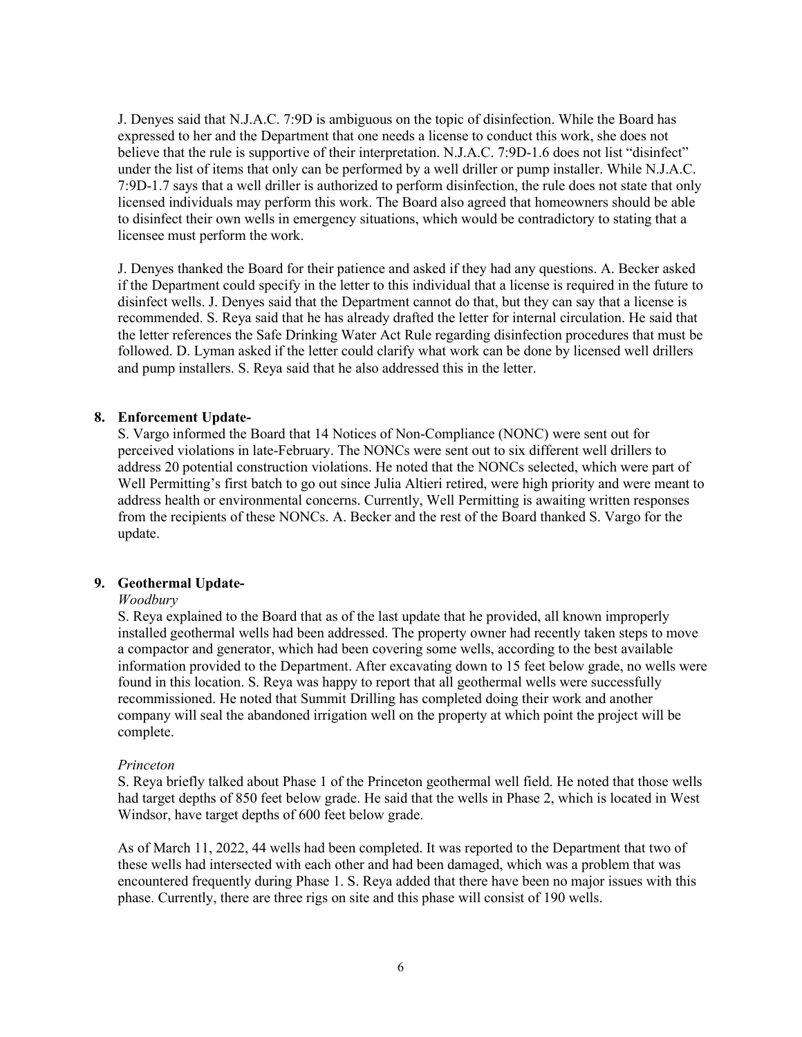J. Denyes said that N.J.A.C. 7:9D is ambiguous on the topic of disinfection. While the Board has expressed to her and the Department that one needs a license to conduct this work, she does not believe that the rule is supportive of their interpretation. N.J.A.C. 7:9D-1.6 does not list "disinfect" under the list of items that only can be performed by a well driller or pump installer. While N.J.A.C. 7:9D-1.7 says that a well driller is authorized to perform disinfection, the rule does not state that only licensed individuals may perform this work. The Board also agreed that homeowners should be able to disinfect their own wells in emergency situations, which would be contradictory to stating that a licensee must perform the work.

J. Denyes thanked the Board for their patience and asked if they had any questions. A. Becker asked if the Department could specify in the letter to this individual that a license is required in the future to disinfect wells. J. Denyes said that the Department cannot do that, but they can say that a license is recommended. S. Reya said that he has already drafted the letter for internal circulation. He said that the letter references the Safe Drinking Water Act Rule regarding disinfection procedures that must be followed. D. Lyman asked if the letter could clarify what work can be done by licensed well drillers and pump installers. S. Reya said that he also addressed this in the letter.

## **8. Enforcement Update-**

S. Vargo informed the Board that 14 Notices of Non-Compliance (NONC) were sent out for perceived violations in late-February. The NONCs were sent out to six different well drillers to address 20 potential construction violations. He noted that the NONCs selected, which were part of Well Permitting's first batch to go out since Julia Altieri retired, were high priority and were meant to address health or environmental concerns. Currently, Well Permitting is awaiting written responses from the recipients of these NONCs. A. Becker and the rest of the Board thanked S. Vargo for the update.

### **9. Geothermal Update-**

### *Woodbury*

S. Reya explained to the Board that as of the last update that he provided, all known improperly installed geothermal wells had been addressed. The property owner had recently taken steps to move a compactor and generator, which had been covering some wells, according to the best available information provided to the Department. After excavating down to 15 feet below grade, no wells were found in this location. S. Reya was happy to report that all geothermal wells were successfully recommissioned. He noted that Summit Drilling has completed doing their work and another company will seal the abandoned irrigation well on the property at which point the project will be complete.

### *Princeton*

S. Reya briefly talked about Phase 1 of the Princeton geothermal well field. He noted that those wells had target depths of 850 feet below grade. He said that the wells in Phase 2, which is located in West Windsor, have target depths of 600 feet below grade.

As of March 11, 2022, 44 wells had been completed. It was reported to the Department that two of these wells had intersected with each other and had been damaged, which was a problem that was encountered frequently during Phase 1. S. Reya added that there have been no major issues with this phase. Currently, there are three rigs on site and this phase will consist of 190 wells.